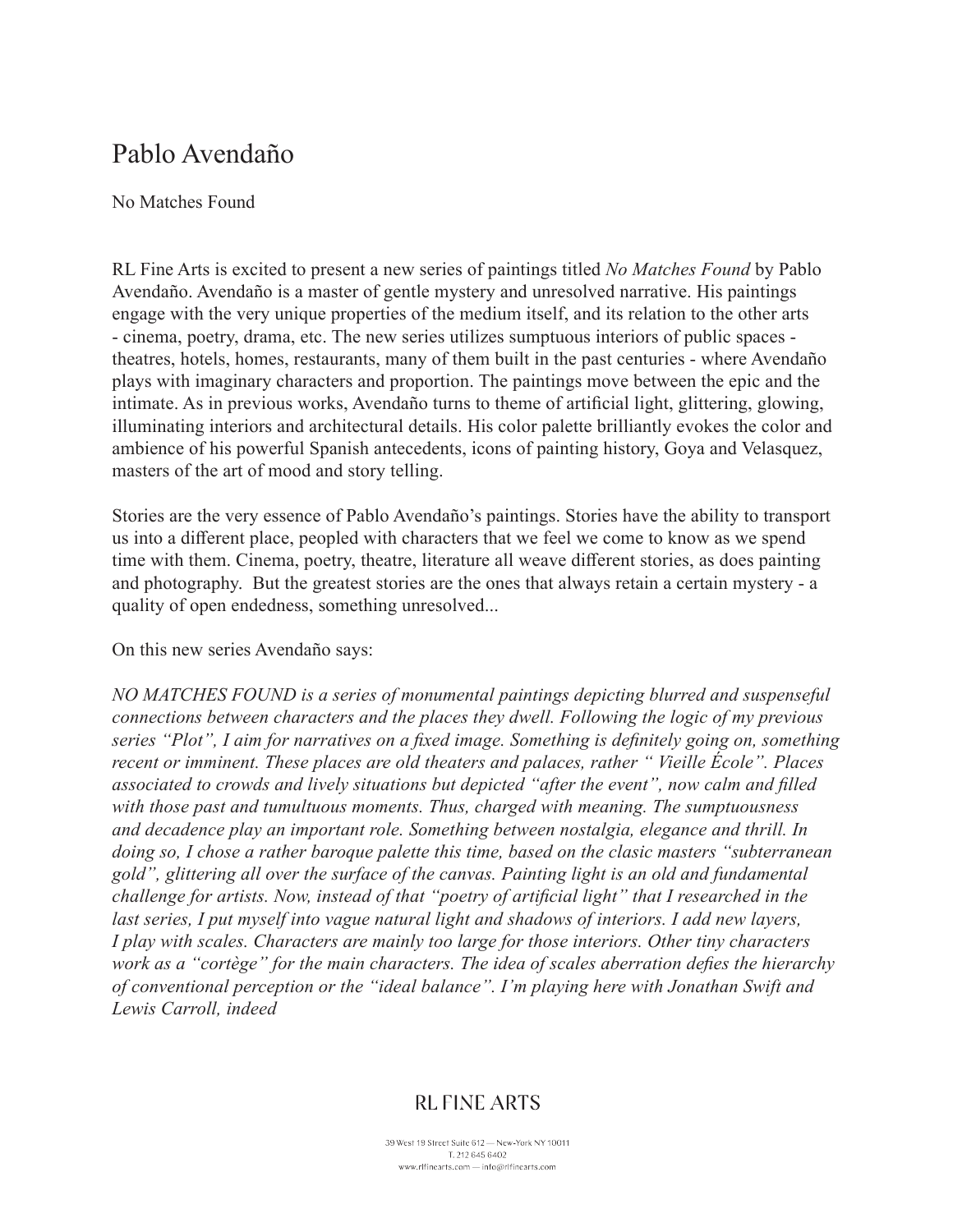# Pablo Avendaño

#### No Matches Found

RL Fine Arts is excited to present a new series of paintings titled *No Matches Found* by Pablo Avendaño. Avendaño is a master of gentle mystery and unresolved narrative. His paintings engage with the very unique properties of the medium itself, and its relation to the other arts - cinema, poetry, drama, etc. The new series utilizes sumptuous interiors of public spaces theatres, hotels, homes, restaurants, many of them built in the past centuries - where Avendaño plays with imaginary characters and proportion. The paintings move between the epic and the intimate. As in previous works, Avendaño turns to theme of artificial light, glittering, glowing, illuminating interiors and architectural details. His color palette brilliantly evokes the color and ambience of his powerful Spanish antecedents, icons of painting history, Goya and Velasquez, masters of the art of mood and story telling.

Stories are the very essence of Pablo Avendaño's paintings. Stories have the ability to transport us into a different place, peopled with characters that we feel we come to know as we spend time with them. Cinema, poetry, theatre, literature all weave different stories, as does painting and photography. But the greatest stories are the ones that always retain a certain mystery - a quality of open endedness, something unresolved...

On this new series Avendaño says:

*NO MATCHES FOUND is a series of monumental paintings depicting blurred and suspenseful connections between characters and the places they dwell. Following the logic of my previous series "Plot", I aim for narratives on a fixed image. Something is definitely going on, something recent or imminent. These places are old theaters and palaces, rather " Vieille École". Places associated to crowds and lively situations but depicted "after the event", now calm and filled with those past and tumultuous moments. Thus, charged with meaning. The sumptuousness and decadence play an important role. Something between nostalgia, elegance and thrill. In doing so, I chose a rather baroque palette this time, based on the clasic masters "subterranean gold", glittering all over the surface of the canvas. Painting light is an old and fundamental challenge for artists. Now, instead of that "poetry of artificial light" that I researched in the last series, I put myself into vague natural light and shadows of interiors. I add new layers, I play with scales. Characters are mainly too large for those interiors. Other tiny characters work as a "cortège" for the main characters. The idea of scales aberration defies the hierarchy of conventional perception or the "ideal balance". I'm playing here with Jonathan Swift and Lewis Carroll, indeed*

## **RL FINE ARTS**

39 West 19 Street Suite 612 - New-York NY 10011 T. 212 645 6402 www.rlfinearts.com - info@rlfinearts.com